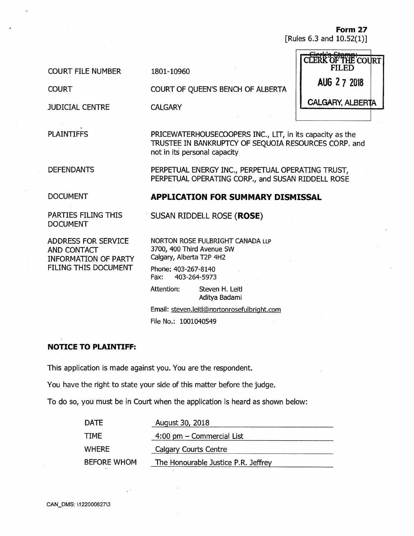**Form 27**  [Rules 6.3 and 10.52(1)]

COURT FILE NUMBER

**COURT** 

JUDICIAL CENTRE

PLAINTIFFS

1801-10960

COURT OF QUEEN'S BENCH OF ALBERTA

**CALGARY** 

PRICEWATERHOUSECOOPERS INC., LIT, in its capacity as the TRUSTEE IN BANKRUPTCY OF SEQUOIA RESOURCES CORP. and not in its personal capacity

DEFENDANTS

PERPETUAL ENERGY INC., PERPETUAL OPERATING TRUST, PERPETUAL OPERATING CORP., and SUSAN RIDDELL ROSE

DOCUMENT

PARTIES FILING THIS DOCUMENT

ADDRESS FOR SERVICE AND CONTACT INFORMATION OF PARTY FILING THIS DOCUMENT

**APPLICATION FOR SUMMARY DISMISSAL** 

**SUSAN RIDDELL ROSE (ROSE)** 

NORTON ROSE FULBRIGHT CANADA LLP 3700, 400 Third Avenue SW Calgary, Alberta T2P 4H2

Phone: 403-267-8140 Fax: 403-264-5973

Attention: Steven H. Leitl Aditya Badami

Email: steven.leitl@nortonrosefulbright.com File No.: 1001040549

# **NOTICE TO PLAINTIFF:**

This application is made against you. You are the respondent.

You have the right to state your side of this matter before the judge.

To do so, you must be in Court when the application is heard as shown below:

| <b>DATE</b>        | August 30, 2018                     |  |
|--------------------|-------------------------------------|--|
| TTME               | $4:00$ pm $-$ Commercial List       |  |
| WHERE              | Calgary Courts Centre               |  |
| <b>BEFORE WHOM</b> | The Honourable Justice P.R. Jeffrey |  |

| $C$ lavkla $C+$<br>CLERK OF THE COURT |  |
|---------------------------------------|--|
| AUG 2 7 2018                          |  |
| <b>CALGARY, ALBERTA</b>               |  |
|                                       |  |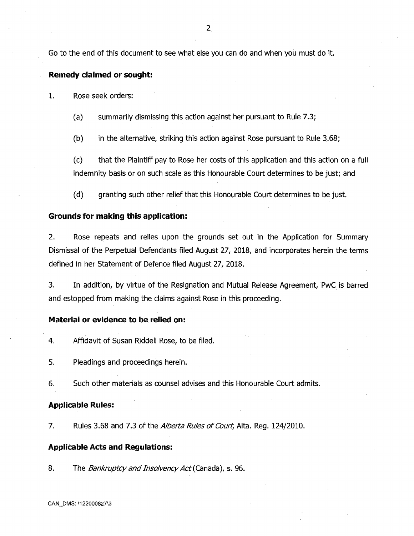Go to the end of this document to see what else you can do and when you must do it.

### **Remedy claimed or sought:**

1. Rose seek orders:

(a) summarily dismissing this action against her pursuant to Rule 7.3;

(b) in the alternative, striking this action against Rose pursuant to Rule 3.68;

(c) that the Plaintiff pay to Rose her costs of this application and this action on a full indemnity basis or on such scale as this Honourable Court determines to be just; and

(d) granting such other relief that this Honourable Court determines to be just.

## **Grounds for making this application:**

2. Rose repeats and relies upon the grounds set out in the Application for Summary Dismissal of the Perpetual Defendants filed August 27, 2018, and incorporates herein the terms defined in her Statement of Defence filed August 27, 2018.

3. In addition, by virtue of the Resignation and Mutual Release Agreement, PwC is barred and estopped from making the claims against Rose in this proceeding.

#### **Material or evidence to be, relied on:**

4. Affidavit of Susan Riddell Rose, to be filed.

5. Pleadings and proceedings herein.

6. Such other materials as counsel advises and this Honourable Court admits.

### **Applicable Rules:**

7. Rules 3.68 and 7.3 of the Alberta Rules of Court, Alta. Reg. 124/2010.

#### **Applicable Acts and Regulations:**

8. The Bankruptcy and Insolvency Act (Canada), s. 96.